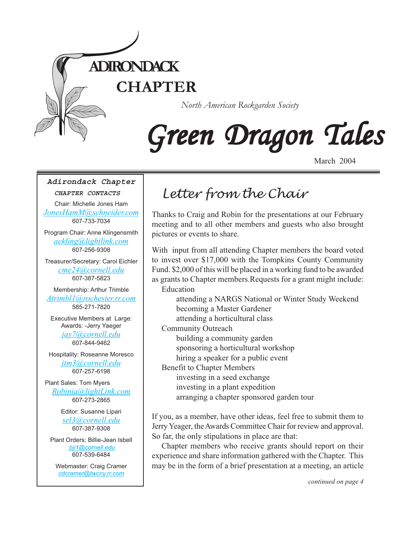

# Green Dragon Tales

March 2004

## **Adirondack Chapter**

#### **CHAPTER CONTACTS**

Chair: Michelle Jones Ham *[JonesHamM@schneider.com](Mailto:JonesHamM@schneider.com)* 607-733-7034

Program Chair: Anne Klingensmith *[aekling@lightlink.com](mailto:aekling@lightlink.com)* 607-256-9308

Treasurer/Secretary: Carol Eichler *[cme24@cornell.edu](mailto:cme24@cornell.ed)* 607-387-5823

Membership: Arthur Trimble *[Atrimbl1@rochester.rr.com](mailto:Atrimbl1@rochester.rr.com)* 585-271-7820

Executive Members at Large: Awards: -Jerry Yaeger

*[jay7@cornell.edu](mailto:jay7@cornell.edu)* 607-844-9462

Hospitality: Roseanne Moresco *[jtm3@cornell.edu](mailto:jtm3@cornell.edu)* 607-257-6198

Plant Sales: Tom Myers *[Robinia@lightLink.com](mailto:Robinia@lightLink.com)* 607-273-2865

> Editor: Susanne Lipari *[sel3@cornell.edu](mailto:sel3@cornell.edu)* 607-387-9308

Plant Orders: Billie-Jean Isbell  *[bji1@cornell.edu](mailto: bji1@cornell.edu|)* 607-539-6484

Webmaster: Craig Cramer *[cdcramer@twcny.rr.com](mailto:cdcramer@twcny.rr.com)*

# *Letter from the Chair*

Thanks to Craig and Robin for the presentations at our February meeting and to all other members and guests who also brought pictures or events to share.

With input from all attending Chapter members the board voted to invest over \$17,000 with the Tompkins County Community Fund. \$2,000 of this will be placed in a working fund to be awarded as grants to Chapter members.Requests for a grant might include:

Education

attending a NARGS National or Winter Study Weekend becoming a Master Gardener attending a horticultural class

Community Outreach

building a community garden

sponsoring a horticultural workshop

hiring a speaker for a public event

Benefit to Chapter Members

investing in a seed exchange investing in a plant expedition arranging a chapter sponsored garden tour

If you, as a member, have other ideas, feel free to submit them to Jerry Yeager, the Awards Committee Chair for review and approval. So far, the only stipulations in place are that:

Chapter members who receive grants should report on their experience and share information gathered with the Chapter. This may be in the form of a brief presentation at a meeting, an article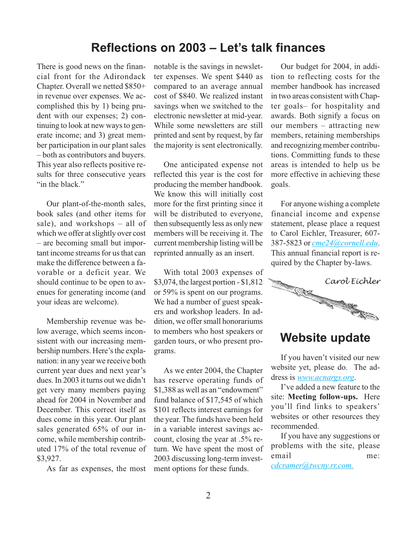# **Reflections on 2003 – Let's talk finances**

There is good news on the financial front for the Adirondack Chapter. Overall we netted \$850+ in revenue over expenses. We accomplished this by 1) being prudent with our expenses; 2) continuing to look at new ways to generate income; and 3) great member participation in our plant sales – both as contributors and buyers. This year also reflects positive results for three consecutive years "in the black."

Our plant-of-the-month sales, book sales (and other items for sale), and workshops – all of which we offer at slightly over cost – are becoming small but important income streams for us that can make the difference between a favorable or a deficit year. We should continue to be open to avenues for generating income (and your ideas are welcome).

Membership revenue was below average, which seems inconsistent with our increasing membership numbers. Here's the explanation: in any year we receive both current year dues and next year's dues. In 2003 it turns out we didn't get very many members paying ahead for 2004 in November and December. This correct itself as dues come in this year. Our plant sales generated 65% of our income, while membership contributed 17% of the total revenue of \$3,927.

As far as expenses, the most

notable is the savings in newsletter expenses. We spent \$440 as compared to an average annual cost of \$840. We realized instant savings when we switched to the electronic newsletter at mid-year. While some newsletters are still printed and sent by request, by far the majority is sent electronically.

One anticipated expense not reflected this year is the cost for producing the member handbook. We know this will initially cost more for the first printing since it will be distributed to everyone, then subsequently less as only new members will be receiving it. The current membership listing will be reprinted annually as an insert.

With total 2003 expenses of \$3,074, the largest portion - \$1,812 or 59% is spent on our programs. We had a number of guest speakers and workshop leaders. In addition, we offer small honorariums to members who host speakers or garden tours, or who present programs.

As we enter 2004, the Chapter has reserve operating funds of \$1,388 as well as an "endowment" fund balance of \$17,545 of which \$101 reflects interest earnings for the year. The funds have been held in a variable interest savings account, closing the year at .5% return. We have spent the most of 2003 discussing long-term investment options for these funds.

Our budget for 2004, in addition to reflecting costs for the member handbook has increased in two areas consistent with Chapter goals– for hospitality and awards. Both signify a focus on our members – attracting new members, retaining memberships and recognizing member contributions. Committing funds to these areas is intended to help us be more effective in achieving these goals.

For anyone wishing a complete financial income and expense statement, please place a request to Carol Eichler, Treasurer, 607- 387-5823 or *[cme24@cornell.edu](mailto:cme24@cornell.ed)*. This annual financial report is required by the Chapter by-laws.



## **Website update**

If you haven't visited our new website yet, please do. The address is *[www.acnargs.org](http://www.acnargs.org)*.

I've added a new feature to the site: **Meeting follow-ups.** Here you'll find links to speakers' websites or other resources they recommended.

If you have any suggestions or problems with the site, please email me: *[cdcramer@twcny.rr.com](mailto:cdcramer@twcny.rr.com).*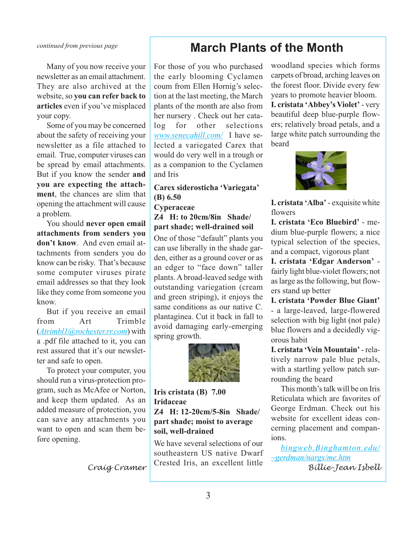### *continued from previous page*

Many of you now receive your newsletter as an email attachment. They are also archived at the website, so **you can refer back to articles** even if you've misplaced your copy.

Some of you may be concerned about the safety of receiving your newsletter as a file attached to email. True, computer viruses can be spread by email attachments. But if you know the sender **and you are expecting the attachment**, the chances are slim that opening the attachment will cause a problem.

You should **never open email attachments from senders you don't know**. And even email attachments from senders you do know can be risky. That's because some computer viruses pirate email addresses so that they look like they come from someone you know.

But if you receive an email from Art Trimble (*[Atrimbl1@rochester.rr.com](mailto:Atrimbl1@rochester.rr.com)*) with a .pdf file attached to it, you can rest assured that it's our newsletter and safe to open.

To protect your computer, you should run a virus-protection program, such as McAfee or Norton, and keep them updated. As an added measure of protection, you can save any attachments you want to open and scan them before opening.

*Craig Cramer*

# **March Plants of the Month**

For those of you who purchased the early blooming Cyclamen coum from Ellen Hornig's selection at the last meeting, the March plants of the month are also from her nursery . Check out her catalog for other selections *[www.senecahill.com/](http://www.senecahill.com/)* I have selected a variegated Carex that would do very well in a trough or as a companion to the Cyclamen and Iris

**Carex siderosticha 'Variegata' (B) 6.50**

**Cyperaceae**

**Z4 H: to 20cm/8in Shade/ part shade; well-drained soil**

One of those "default" plants you can use liberally in the shade garden, either as a ground cover or as an edger to "face down" taller plants. A broad-leaved sedge with outstanding variegation (cream and green striping), it enjoys the same conditions as our native C. plantaginea. Cut it back in fall to avoid damaging early-emerging spring growth.



**Iris cristata (B) 7.00 Iridaceae Z4 H: 12-20cm/5-8in Shade/ part shade; moist to average soil, well-drained**

We have several selections of our southeastern US native Dwarf Crested Iris, an excellent little

woodland species which forms carpets of broad, arching leaves on the forest floor. Divide every few years to promote heavier bloom. **I. cristata 'Abbey's Violet'** - very beautiful deep blue-purple flowers; relatively broad petals, and a large white patch surrounding the beard



**I. cristata 'Alba'** - exquisite white flowers

**I. cristata 'Eco Bluebird'** - medium blue-purple flowers; a nice typical selection of the species, and a compact, vigorous plant

**I. cristata 'Edgar Anderson'** fairly light blue-violet flowers; not as large as the following, but flowers stand up better

**I. cristata 'Powder Blue Giant'** - a large-leaved, large-flowered selection with big light (not pale) blue flowers and a decidedly vigorous habit

**I. cristata 'Vein Mountain'** - relatively narrow pale blue petals, with a startling yellow patch surrounding the beard

This month's talk will be on Iris Reticulata which are favorites of George Erdman. Check out his website for excellent ideas concerning placement and companions.

*[bingweb.Binghamton.edu/](http://bingweb.binghamton.edu/~gerdman/nargs/me.htm) [~gerdman/nargs/me.htm](http://bingweb.binghamton.edu/~gerdman/nargs/me.htm)*

*Billie-Jean Isbell*